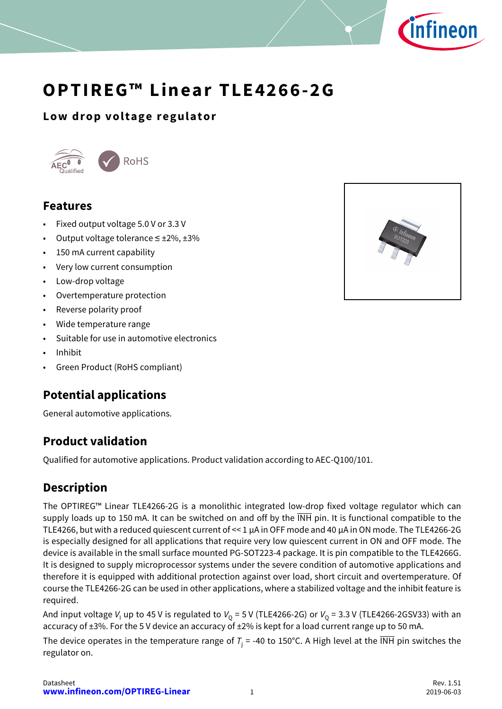

# **OPTIREG™ Linear TLE4266-2G**

## **Low drop voltage regulator**



## <span id="page-0-0"></span>**Features**

- Fixed output voltage 5.0 V or 3.3 V
- Output voltage tolerance  $\leq \pm 2\%$ ,  $\pm 3\%$
- 150 mA current capability
- Very low current consumption
- Low-drop voltage
- Overtemperature protection
- Reverse polarity proof
- Wide temperature range
- Suitable for use in automotive electronics
- Inhibit
- Green Product (RoHS compliant)

## <span id="page-0-1"></span>**Potential applications**

General automotive applications.

## <span id="page-0-2"></span>**Product validation**

Qualified for automotive applications. Product validation according to AEC-Q100/101.

## <span id="page-0-3"></span>**Description**

The OPTIREG™ Linear TLE4266-2G is a monolithic integrated low-drop fixed voltage regulator which can supply loads up to 150 mA. It can be switched on and off by the INH pin. It is functional compatible to the TLE4266, but with a reduced quiescent current of << 1 µA in OFF mode and 40 µA in ON mode. The TLE4266-2G is especially designed for all applications that require very low quiescent current in ON and OFF mode. The device is available in the small surface mounted PG-SOT223-4 package. It is pin compatible to the TLE4266G. It is designed to supply microprocessor systems under the severe condition of automotive applications and therefore it is equipped with additional protection against over load, short circuit and overtemperature. Of course the TLE4266-2G can be used in other applications, where a stabilized voltage and the inhibit feature is required.

And input voltage *V*<sub>I</sub> up to 45 V is regulated to *V*<sub>Q</sub> = 5 V (TLE4266-2G) or *V*<sub>Q</sub> = 3.3 V (TLE4266-2GSV33) with an accuracy of ±3%. For the 5 V device an accuracy of ±2% is kept for a load current range up to 50 mA.

The device operates in the temperature range of  $T_j$  = -40 to 150°C. A High level at the INH pin switches the regulator on.



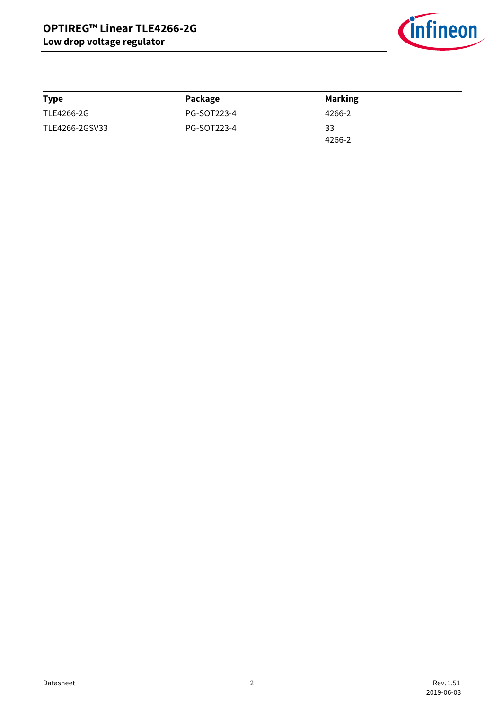

| <b>Type</b>    | Package     | <b>Marking</b> |
|----------------|-------------|----------------|
| TLE4266-2G     | PG-SOT223-4 | 4266-2         |
| TLE4266-2GSV33 | PG-SOT223-4 | 33             |
|                |             | 4266-2         |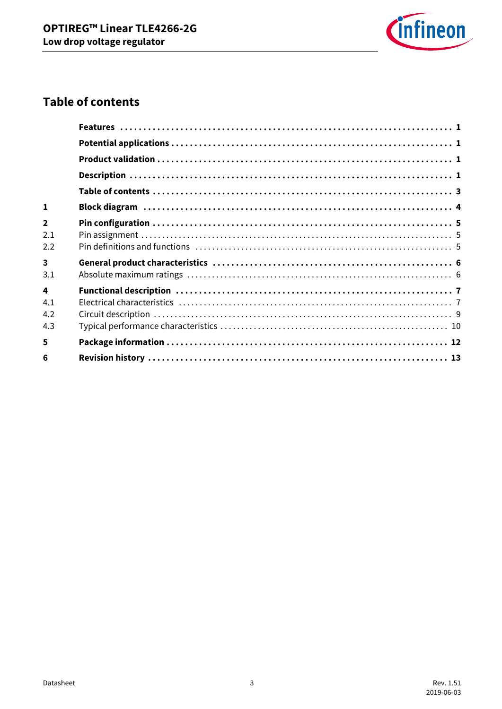

## <span id="page-2-0"></span>**Table of contents**

| $\mathbf{1}$            |  |
|-------------------------|--|
| $\overline{\mathbf{2}}$ |  |
| 2.1<br>2.2              |  |
| $\overline{\mathbf{3}}$ |  |
| 3.1                     |  |
| $\mathbf{A}$            |  |
| 4.1                     |  |
| 4.2                     |  |
| 4.3                     |  |
| 5                       |  |
| 6                       |  |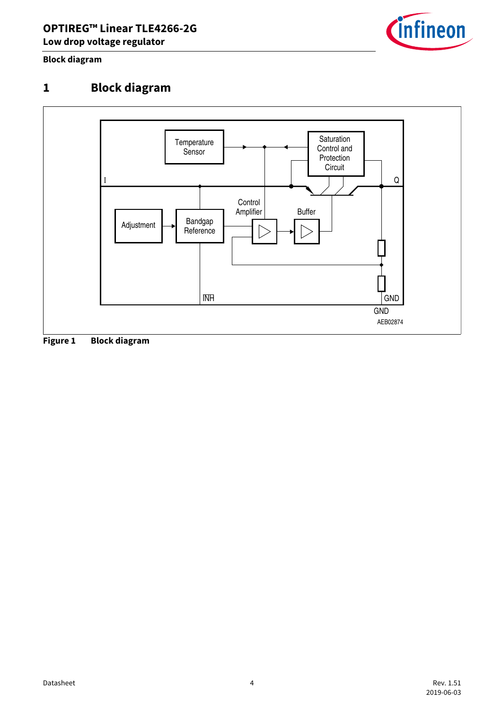

**Block diagram**

## <span id="page-3-0"></span>**1 Block diagram**



**Figure 1 Block diagram**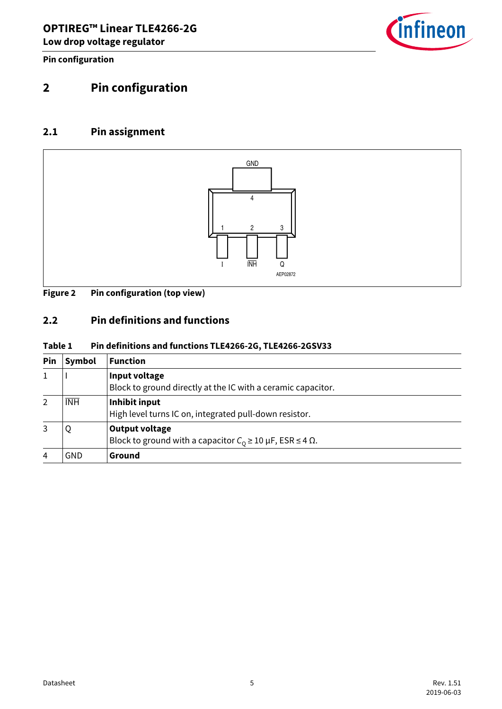

**Pin configuration**

# <span id="page-4-0"></span>**2 Pin configuration**

### <span id="page-4-1"></span>**2.1 Pin assignment**



#### **Figure 2 Pin configuration (top view)**

### <span id="page-4-2"></span>**2.2 Pin definitions and functions**

#### **Table 1 Pin definitions and functions TLE4266-2G, TLE4266-2GSV33**

| Pin            | Symbol     | <b>Function</b>                                                                                               |
|----------------|------------|---------------------------------------------------------------------------------------------------------------|
|                |            | Input voltage<br>Block to ground directly at the IC with a ceramic capacitor.                                 |
| $\overline{2}$ | <b>INH</b> | Inhibit input<br>High level turns IC on, integrated pull-down resistor.                                       |
|                | Q          | <b>Output voltage</b><br>Block to ground with a capacitor $C_0 \ge 10 \,\mu\text{F}$ , ESR $\le 4 \,\Omega$ . |
| 4              | GND        | Ground                                                                                                        |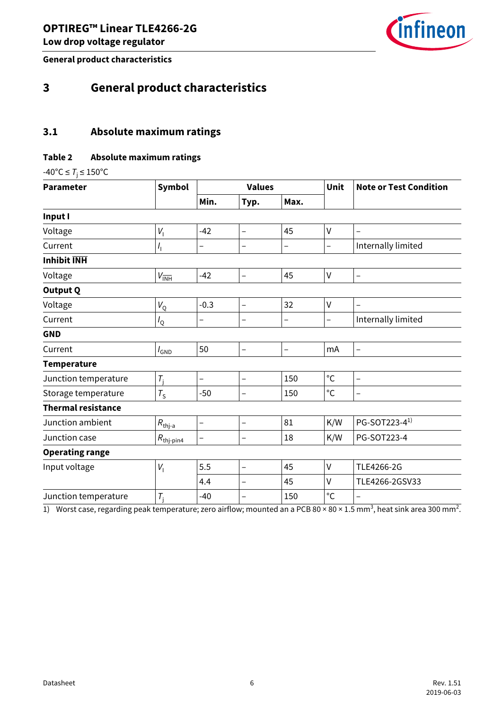

**General product characteristics**

## <span id="page-5-0"></span>**3 General product characteristics**

### <span id="page-5-1"></span>**3.1 Absolute maximum ratings**

#### **Table 2 Absolute maximum ratings**

 $-40^{\circ}$ C  $\leq T$ <sub>j</sub> $\leq 150^{\circ}$ C

| <b>Parameter</b>          | <b>Symbol</b>                 | <b>Values</b>            |                          |                          | Unit              | <b>Note or Test Condition</b> |
|---------------------------|-------------------------------|--------------------------|--------------------------|--------------------------|-------------------|-------------------------------|
|                           |                               | Min.                     | Typ.                     | Max.                     |                   |                               |
| Input I                   |                               |                          |                          |                          |                   |                               |
| Voltage                   | $V_1$                         | $-42$                    | $\overline{\phantom{0}}$ | 45                       | V                 |                               |
| Current                   | $I_{\rm l}$                   | -                        | -                        | -                        | $\qquad \qquad -$ | Internally limited            |
| <b>Inhibit INH</b>        |                               |                          |                          |                          |                   |                               |
| Voltage                   | $V_{\overline{\mathsf{INH}}}$ | $-42$                    | $\qquad \qquad -$        | 45                       | V                 | $\qquad \qquad -$             |
| <b>Output Q</b>           |                               |                          |                          |                          |                   |                               |
| Voltage                   | $V_{\rm Q}$                   | $-0.3$                   | $\overline{\phantom{0}}$ | 32                       | V                 | $\overline{\phantom{0}}$      |
| Current                   | $I_{\rm Q}$                   | $\overline{\phantom{0}}$ | -                        | $\overline{\phantom{0}}$ | $\qquad \qquad -$ | Internally limited            |
| <b>GND</b>                |                               |                          |                          |                          |                   |                               |
| Current                   | $I_{GND}$                     | 50                       | $\qquad \qquad -$        | $\overline{\phantom{0}}$ | mA                | $\overline{\phantom{0}}$      |
| <b>Temperature</b>        |                               |                          |                          |                          |                   |                               |
| Junction temperature      | $T_{\rm j}$                   | $\overline{\phantom{0}}$ | $\overline{\phantom{0}}$ | 150                      | $^{\circ}{\rm C}$ | $\overline{\phantom{0}}$      |
| Storage temperature       | $T_{\rm S}$                   | $-50$                    |                          | 150                      | $^{\circ}$ C      | $\overline{\phantom{0}}$      |
| <b>Thermal resistance</b> |                               |                          |                          |                          |                   |                               |
| Junction ambient          | $R_{\text{thj-a}}$            | $\qquad \qquad -$        | -                        | 81                       | K/W               | PG-SOT223-4 <sup>1)</sup>     |
| Junction case             | $R_{\text{thj}-\text{pin4}}$  | $\overline{\phantom{0}}$ | $\overline{\phantom{0}}$ | 18                       | K/W               | PG-SOT223-4                   |
| <b>Operating range</b>    |                               |                          |                          |                          |                   |                               |
| Input voltage             | $V_1$                         | 5.5                      | $\qquad \qquad -$        | 45                       | V                 | TLE4266-2G                    |
|                           |                               | 4.4                      |                          | 45                       | V                 | TLE4266-2GSV33                |
| Junction temperature      | $T_i$                         | $-40$                    | $\overline{\phantom{0}}$ | 150                      | $^{\circ}C$       | $\qquad \qquad -$             |

1) Worst case, regarding peak temperature; zero airflow; mounted an a PCB 80 × 80 × 1.5 mm<sup>3</sup>, heat sink area 300 mm<sup>2</sup>.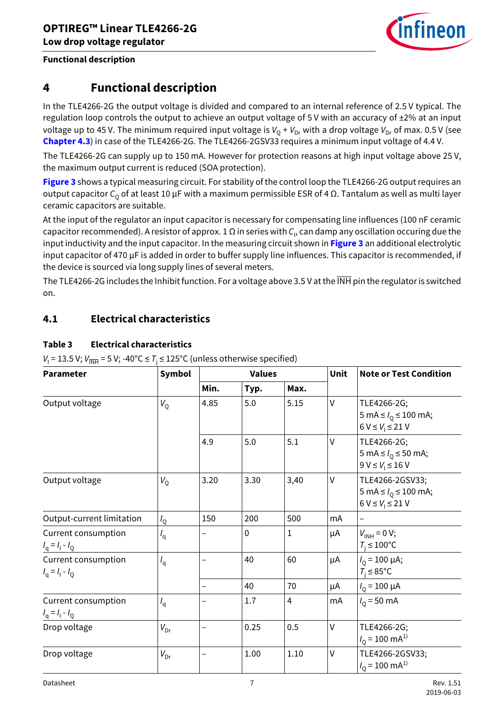

## <span id="page-6-0"></span>**4 Functional description**

In the TLE4266-2G the output voltage is divided and compared to an internal reference of 2.5 V typical. The regulation loop controls the output to achieve an output voltage of 5 V with an accuracy of  $\pm 2\%$  at an input voltage up to 45 V. The minimum required input voltage is  $V_0 + V_{Dr}$  with a drop voltage  $V_{Dr}$  of max. 0.5 V (see **[Chapter 4.3](#page-9-0)**) in case of the TLE4266-2G. The TLE4266-2GSV33 requires a minimum input voltage of 4.4 V.

The TLE4266-2G can supply up to 150 mA. However for protection reasons at high input voltage above 25 V, the maximum output current is reduced (SOA protection).

**[Figure 3](#page-8-1)** shows a typical measuring circuit. For stability of the control loop the TLE4266-2G output requires an output capacitor *C*<sub>Q</sub> of at least 10 μF with a maximum permissible ESR of 4 Ω. Tantalum as well as multi layer ceramic capacitors are suitable.

At the input of the regulator an input capacitor is necessary for compensating line influences (100 nF ceramic capacitor recommended). A resistor of approx. 1 Ω in series with *C*<sup>I</sup> , can damp any oscillation occuring due the input inductivity and the input capacitor. In the measuring circuit shown in **[Figure 3](#page-8-1)** an additional electrolytic input capacitor of 470 µF is added in order to buffer supply line influences. This capacitor is recommended, if the device is sourced via long supply lines of several meters.

The TLE4266-2G includes the Inhibit function. For a voltage above 3.5 V at the INH pin the regulator is switched on.

### <span id="page-6-1"></span>**4.1 Electrical characteristics**

#### **Table 3 Electrical characteristics**

| $V_1$ = 13.5 V; $V_{\overline{INH}}$ = 5 V; -40°C $\leq T_i \leq 125$ °C (unless otherwise specified) |  |
|-------------------------------------------------------------------------------------------------------|--|
|-------------------------------------------------------------------------------------------------------|--|

| <b>Parameter</b>                         | <b>Symbol</b>   | <b>Values</b> |             |                         | Unit   | <b>Note or Test Condition</b>                                               |
|------------------------------------------|-----------------|---------------|-------------|-------------------------|--------|-----------------------------------------------------------------------------|
|                                          |                 | Min.          | Typ.        | Max.                    |        |                                                                             |
| Output voltage                           | $V_{\rm Q}$     | 4.85          | 5.0         | 5.15                    | V      | TLE4266-2G;<br>5 mA $\leq l_0 \leq 100$ mA;<br>$6 V \leq V_i \leq 21 V$     |
|                                          |                 | 4.9           | 5.0         | 5.1                     | $\vee$ | TLE4266-2G;<br>5 mA $\leq l_0 \leq 50$ mA;<br>$9 V \leq V_1 \leq 16 V$      |
| Output voltage                           | $V_{\rm Q}$     | 3.20          | 3.30        | 3,40                    | $\vee$ | TLE4266-2GSV33;<br>5 mA $\leq l_0 \leq 100$ mA;<br>$6 V \leq V_1 \leq 21 V$ |
| Output-current limitation                | $I_{\rm Q}$     | 150           | 200         | 500                     | mA     |                                                                             |
| Current consumption<br>$I_q = I_1 - I_Q$ | $I_{\rm q}$     |               | $\mathbf 0$ | 1                       | μA     | $V_{INH} = 0 V;$<br>$T_i \leq 100^{\circ}$ C                                |
| Current consumption<br>$I_q = I_1 - I_Q$ | $I_{q}$         |               | 40          | 60                      | μA     | $I_0 = 100 \mu A;$<br>$T_i \leq 85^{\circ}$ C                               |
|                                          |                 |               | 40          | 70                      | μA     | $I_0 = 100 \mu A$                                                           |
| Current consumption<br>$I_q = I_1 - I_Q$ | $I_{q}$         |               | 1.7         | $\overline{\mathbf{4}}$ | mA     | $I_0 = 50 \text{ mA}$                                                       |
| Drop voltage                             | $V_{\text{Dr}}$ |               | 0.25        | 0.5                     | $\vee$ | TLE4266-2G;<br>$I_{\rm O}$ = 100 mA <sup>1)</sup>                           |
| Drop voltage                             | $V_{\text{Dr}}$ |               | 1.00        | 1.10                    | $\vee$ | TLE4266-2GSV33;<br>$I_0$ = 100 mA <sup>1)</sup>                             |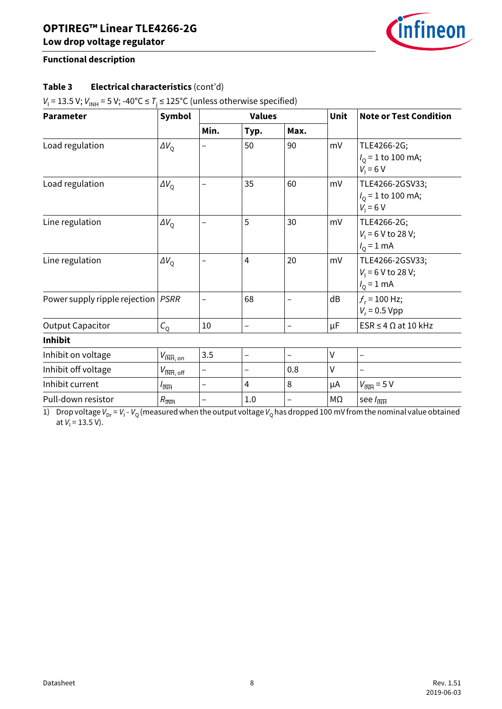

#### **Table 3 Electrical characteristics** (cont'd)

| $V_1$ = 13.5 V; $V_{INH}$ = 5 V; -40°C $\le T_i \le 125$ °C (unless otherwise specified) |  |
|------------------------------------------------------------------------------------------|--|
|                                                                                          |  |

| <b>Parameter</b>                     | <b>Symbol</b>                                           | <b>Values</b> |                          |                          | Unit         | <b>Note or Test Condition</b>                           |
|--------------------------------------|---------------------------------------------------------|---------------|--------------------------|--------------------------|--------------|---------------------------------------------------------|
|                                      |                                                         | Min.          | Typ.                     | Max.                     |              |                                                         |
| Load regulation                      | $\Delta V_{\rm O}$                                      |               | 50                       | 90                       | mV           | TLE4266-2G;<br>$I_0$ = 1 to 100 mA;<br>$V_1 = 6 V$      |
| Load regulation                      | $\Delta V_{\rm O}$                                      |               | 35                       | 60                       | mV           | TLE4266-2GSV33;<br>$I_0$ = 1 to 100 mA;<br>$V_1 = 6 V$  |
| Line regulation                      | $\Delta V_{\rm O}$                                      |               | 5                        | 30                       | mV           | TLE4266-2G;<br>$V_1$ = 6 V to 28 V;<br>$I_{Q} = 1$ mA   |
| Line regulation                      | $\Delta V_{\rm O}$                                      |               | $\overline{4}$           | 20                       | mV           | TLE4266-2GSV33;<br>$V_1$ = 6 V to 28 V;<br>$I_0 = 1$ mA |
| Power supply ripple rejection   PSRR |                                                         |               | 68                       |                          | dB           | $f_r$ = 100 Hz;<br>$V_r = 0.5 Vpp$                      |
| <b>Output Capacitor</b>              | $C_{\rm O}$                                             | 10            | $\overline{\phantom{0}}$ | $\overline{\phantom{0}}$ | μF           | $ESR \leq 4 \Omega$ at 10 kHz                           |
| <b>Inhibit</b>                       |                                                         |               |                          |                          |              |                                                         |
| Inhibit on voltage                   | $V_{\overline{\mathsf{INH}},\,\underline{\mathsf{on}}}$ | 3.5           | $\qquad \qquad -$        | -                        | $\mathsf{V}$ | $\qquad \qquad -$                                       |
| Inhibit off voltage                  | $V_{\overline{\mathsf{INH}}, \mathsf{off}}$             |               | $\qquad \qquad$          | 0.8                      | V            |                                                         |
| Inhibit current                      | $l_{\overline{\mathsf{INH}}}$                           | -             | 4                        | 8                        | μA           | $V_{\overline{\text{INH}}}$ = 5 V                       |
| Pull-down resistor                   | $R_{\overline{\text{INH}}}$                             |               | 1.0                      | —                        | MΩ           | see $I_{\overline{\text{INH}}}$                         |

<span id="page-7-0"></span>1) Drop voltage *V*<sub>Dr</sub> = *V*<sub>I</sub> - *V*<sub>Q</sub> (measured when the output voltage *V*<sub>Q</sub> has dropped 100 mV from the nominal value obtained at *V*<sub>I</sub> = 13.5 V).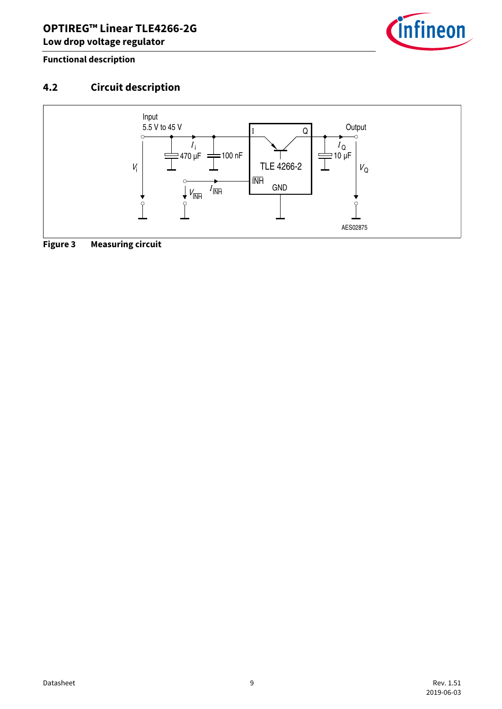

## <span id="page-8-0"></span>**4.2 Circuit description**



<span id="page-8-1"></span>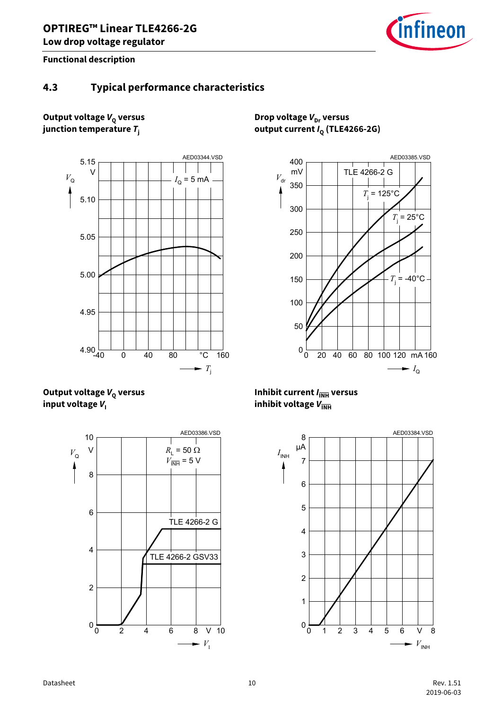

### <span id="page-9-0"></span>**4.3 Typical performance characteristics**

#### **Output voltage**  $V_Q$  **versus junction temperature** *T***<sup>j</sup>**



**Output voltage**  $V_0$  **versus input voltage**  $V_1$ 



**Drop voltage**  $V_{\text{Dr}}$  **versus output current**  $I_Q$  **(TLE4266-2G)** 



**Inhibit current**  $I_{\overline{\mathsf{INH}}}$  **versus inhibit voltage**  $V_{\overline{\text{INH}}}$ 

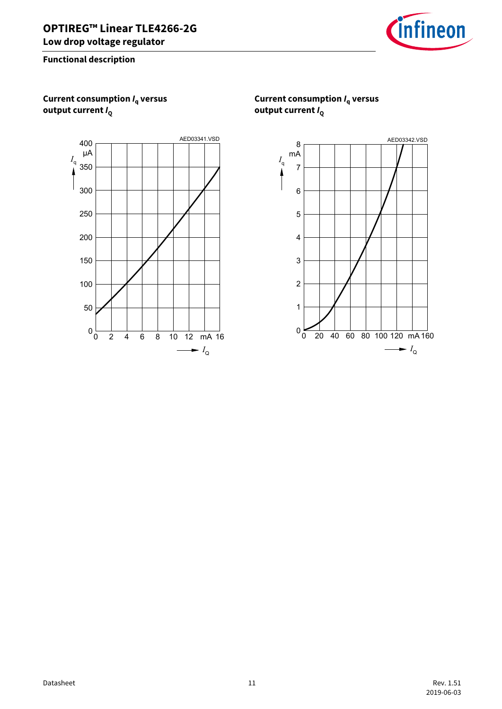

**Current consumption** *I***q versus output current** *I***<sup>Q</sup>**



**Current consumption** *I***q versus output current** *I***<sup>Q</sup>**

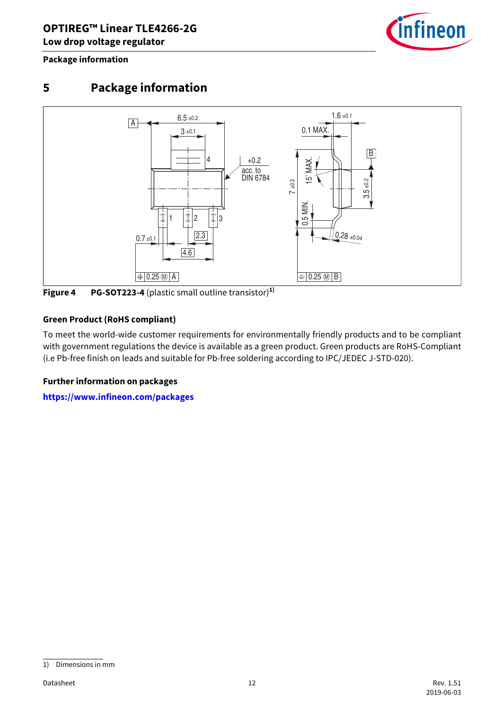infineon

**Package information**

## <span id="page-11-0"></span>**5 Package information**



**Figure 4 PG-SOT223-4** (plastic small outline transistor)**1)**

#### **Green Product (RoHS compliant)**

To meet the world-wide customer requirements for environmentally friendly products and to be compliant with government regulations the device is available as a green product. Green products are RoHS-Compliant (i.e Pb-free finish on leads and suitable for Pb-free soldering according to IPC/JEDEC J-STD-020).

#### **Further information on packages**

**<https://www.infineon.com/packages>**

<sup>1)</sup> Dimensions in mm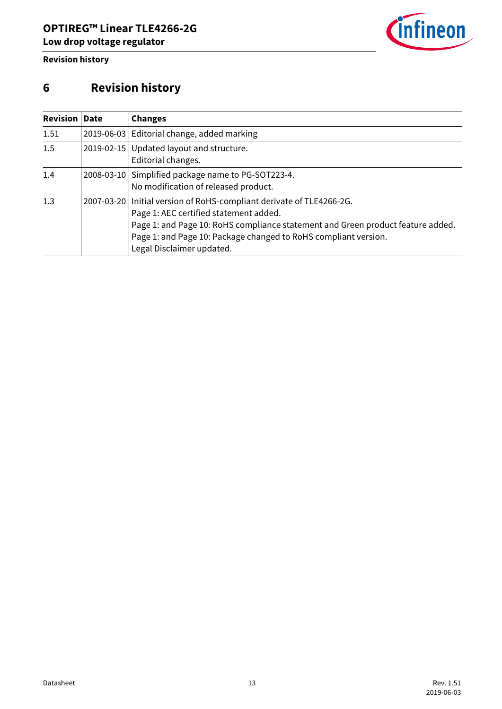

**Revision history**

## <span id="page-12-0"></span>**6 Revision history**

| <b>Revision</b> | <b>Date</b> | <b>Changes</b>                                                                                                                                                                                                                                                                                      |
|-----------------|-------------|-----------------------------------------------------------------------------------------------------------------------------------------------------------------------------------------------------------------------------------------------------------------------------------------------------|
| 1.51            |             | 2019-06-03 Editorial change, added marking                                                                                                                                                                                                                                                          |
| 1.5             |             | 2019-02-15 Updated layout and structure.<br>Editorial changes.                                                                                                                                                                                                                                      |
| 1.4             |             | 2008-03-10 Simplified package name to PG-SOT223-4.<br>No modification of released product.                                                                                                                                                                                                          |
| 1.3             |             | 2007-03-20   Initial version of RoHS-compliant derivate of TLE4266-2G.<br>Page 1: AEC certified statement added.<br>Page 1: and Page 10: RoHS compliance statement and Green product feature added.<br>Page 1: and Page 10: Package changed to RoHS compliant version.<br>Legal Disclaimer updated. |